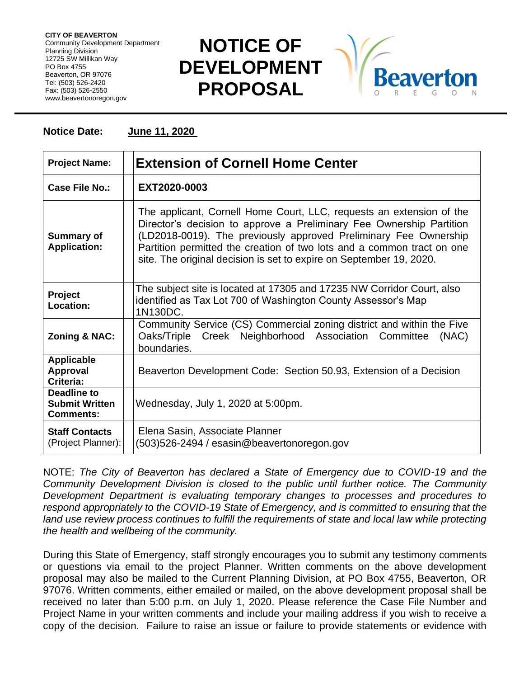**CITY OF BEAVERTON** Community Development Department Planning Division 12725 SW Millikan Way PO Box 4755 Beaverton, OR 97076 Tel: (503) 526-2420 Fax: (503) 526-2550 www.beavertonoregon.gov

## **NOTICE OF DEVELOPMENT PROPOSAL**



## **Notice Date: June 11, 2020**

| <b>Project Name:</b>                                            | <b>Extension of Cornell Home Center</b>                                                                                                                                                                                                                                                                                                                           |
|-----------------------------------------------------------------|-------------------------------------------------------------------------------------------------------------------------------------------------------------------------------------------------------------------------------------------------------------------------------------------------------------------------------------------------------------------|
| Case File No.:                                                  | EXT2020-0003                                                                                                                                                                                                                                                                                                                                                      |
| <b>Summary of</b><br><b>Application:</b>                        | The applicant, Cornell Home Court, LLC, requests an extension of the<br>Director's decision to approve a Preliminary Fee Ownership Partition<br>(LD2018-0019). The previously approved Preliminary Fee Ownership<br>Partition permitted the creation of two lots and a common tract on one<br>site. The original decision is set to expire on September 19, 2020. |
| Project<br>Location:                                            | The subject site is located at 17305 and 17235 NW Corridor Court, also<br>identified as Tax Lot 700 of Washington County Assessor's Map<br>1N130DC.                                                                                                                                                                                                               |
| <b>Zoning &amp; NAC:</b>                                        | Community Service (CS) Commercial zoning district and within the Five<br>Oaks/Triple Creek Neighborhood Association Committee<br>(NAC)<br>boundaries.                                                                                                                                                                                                             |
| <b>Applicable</b><br><b>Approval</b><br>Criteria:               | Beaverton Development Code: Section 50.93, Extension of a Decision                                                                                                                                                                                                                                                                                                |
| <b>Deadline to</b><br><b>Submit Written</b><br><b>Comments:</b> | Wednesday, July 1, 2020 at 5:00pm.                                                                                                                                                                                                                                                                                                                                |
| <b>Staff Contacts</b><br>(Project Planner):                     | Elena Sasin, Associate Planner<br>(503)526-2494 / esasin@beavertonoregon.gov                                                                                                                                                                                                                                                                                      |

NOTE: *The City of Beaverton has declared a State of Emergency due to COVID-19 and the Community Development Division is closed to the public until further notice. The Community Development Department is evaluating temporary changes to processes and procedures to respond appropriately to the COVID-19 State of Emergency, and is committed to ensuring that the*  land use review process continues to fulfill the requirements of state and local law while protecting *the health and wellbeing of the community.*

During this State of Emergency, staff strongly encourages you to submit any testimony comments or questions via email to the project Planner. Written comments on the above development proposal may also be mailed to the Current Planning Division, at PO Box 4755, Beaverton, OR 97076. Written comments, either emailed or mailed, on the above development proposal shall be received no later than 5:00 p.m. on July 1, 2020. Please reference the Case File Number and Project Name in your written comments and include your mailing address if you wish to receive a copy of the decision. Failure to raise an issue or failure to provide statements or evidence with